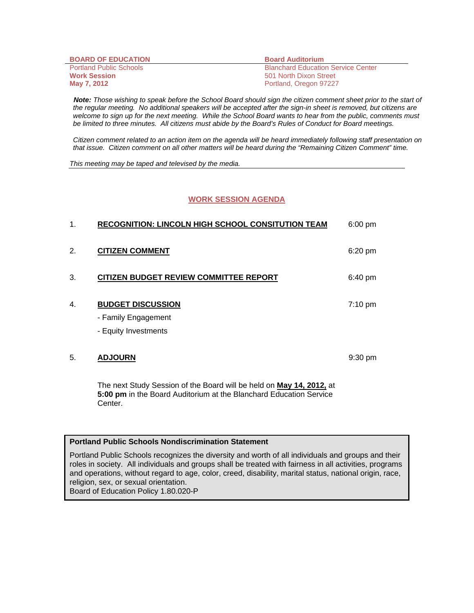| <b>BOARD OF EDUCATION</b>      | <b>Board Auditorium</b>                   |
|--------------------------------|-------------------------------------------|
| <b>Portland Public Schools</b> | <b>Blanchard Education Service Center</b> |
| <b>Work Session</b>            | 501 North Dixon Street                    |
| May 7, 2012                    | Portland, Oregon 97227                    |

 *Note: Those wishing to speak before the School Board should sign the citizen comment sheet prior to the start of the regular meeting. No additional speakers will be accepted after the sign-in sheet is removed, but citizens are welcome to sign up for the next meeting. While the School Board wants to hear from the public, comments must be limited to three minutes. All citizens must abide by the Board's Rules of Conduct for Board meetings.* 

 *Citizen comment related to an action item on the agenda will be heard immediately following staff presentation on that issue. Citizen comment on all other matters will be heard during the "Remaining Citizen Comment" time.* 

*This meeting may be taped and televised by the media.* 

## **WORK SESSION AGENDA**

| 1. | <b>RECOGNITION: LINCOLN HIGH SCHOOL CONSITUTION TEAM</b> | $6:00$ pm |
|----|----------------------------------------------------------|-----------|
| 2. | <b>CITIZEN COMMENT</b>                                   | 6:20 pm   |
| 3. | <b>CITIZEN BUDGET REVIEW COMMITTEE REPORT</b>            | 6:40 pm   |
| 4. | <b>BUDGET DISCUSSION</b>                                 | 7:10 pm   |
|    | - Family Engagement                                      |           |
|    | - Equity Investments                                     |           |
| 5. | <b>ADJOURN</b>                                           | 9:30 pm   |

The next Study Session of the Board will be held on **May 14, 2012,** at **5:00 pm** in the Board Auditorium at the Blanchard Education Service Center.

#### **Portland Public Schools Nondiscrimination Statement**

Portland Public Schools recognizes the diversity and worth of all individuals and groups and their roles in society. All individuals and groups shall be treated with fairness in all activities, programs and operations, without regard to age, color, creed, disability, marital status, national origin, race, religion, sex, or sexual orientation. Board of Education Policy 1.80.020-P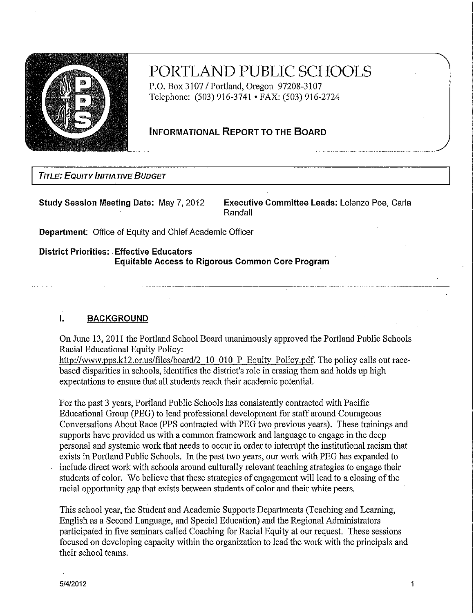

# PORTLAND PUBLIC SCHOOLS

P.O. Box 3107 / Portland, Oregon 97208-3107 Telephone: (503) 916-3741 • FAX: (503) 916-2724

# **INFORMATIONAL REPORT TO THE BOARD**

**TITLE: EQUITY INITIATIVE BUDGET** 

**Study Session Meeting Date: May 7, 2012** 

Executive Committee Leads: Lolenzo Poe. Carla Randall

Department: Office of Equity and Chief Academic Officer

**District Priorities: Effective Educators Equitable Access to Rigorous Common Core Program** 

#### $\mathbf{L}$ **BACKGROUND**

On June 13, 2011 the Portland School Board unanimously approved the Portland Public Schools Racial Educational Equity Policy:

http://www.pps.k12.or.us/files/board/2\_10\_010\_P\_Equity\_Policy.pdf. The policy calls out racebased disparities in schools, identifies the district's role in erasing them and holds up high expectations to ensure that all students reach their academic potential.

For the past 3 years, Portland Public Schools has consistently contracted with Pacific Educational Group (PEG) to lead professional development for staff around Courageous Conversations About Race (PPS contracted with PEG two previous years). These trainings and supports have provided us with a common framework and language to engage in the deep personal and systemic work that needs to occur in order to interrupt the institutional racism that exists in Portland Public Schools. In the past two years, our work with PEG has expanded to include direct work with schools around culturally relevant teaching strategies to engage their students of color. We believe that these strategies of engagement will lead to a closing of the racial opportunity gap that exists between students of color and their white peers.

This school year, the Student and Academic Supports Departments (Teaching and Learning, English as a Second Language, and Special Education) and the Regional Administrators participated in five seminars called Coaching for Racial Equity at our request. These sessions focused on developing capacity within the organization to lead the work with the principals and their school teams.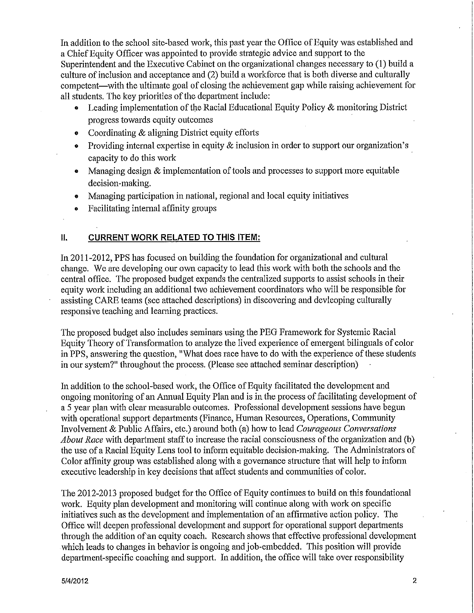In addition to the school site-based work, this past year the Office of Equity was established and a Chief Equity Officer was appointed to provide strategic advice and support to the Superintendent and the Executive Cabinet on the organizational changes necessary to (1) build a culture of inclusion and acceptance and (2) build a workforce that is both diverse and culturally competent—with the ultimate goal of closing the achievement gap while raising achievement for all students. The key priorities of the department include:

- Leading implementation of the Racial Educational Equity Policy & monitoring District progress towards equity outcomes
- Coordinating & aligning District equity efforts
- Providing internal expertise in equity  $\&$  inclusion in order to support our organization's  $\bullet$ capacity to do this work
- Managing design  $\&$  implementation of tools and processes to support more equitable decision-making.
- Managing participation in national, regional and local equity initiatives
- Facilitating internal affinity groups ø

#### II. **CURRENT WORK RELATED TO THIS ITEM:**

In 2011-2012, PPS has focused on building the foundation for organizational and cultural change. We are developing our own capacity to lead this work with both the schools and the central office. The proposed budget expands the centralized supports to assist schools in their equity work including an additional two achievement coordinators who will be responsible for assisting CARE teams (see attached descriptions) in discovering and devleoping culturally responsive teaching and learning practices.

The proposed budget also includes seminars using the PEG Framework for Systemic Racial Equity Theory of Transformation to analyze the lived experience of emergent bilinguals of color in PPS, answering the question, "What does race have to do with the experience of these students in our system?" throughout the process. (Please see attached seminar description)

In addition to the school-based work, the Office of Equity facilitated the development and ongoing monitoring of an Annual Equity Plan and is in the process of facilitating development of a 5 year plan with clear measurable outcomes. Professional development sessions have begun with operational support departments (Finance, Human Resources, Operations, Community Involvement & Public Affairs, etc.) around both (a) how to lead Courageous Conversations *About Race* with department staff to increase the racial consciousness of the organization and (b) the use of a Racial Equity Lens tool to inform equitable decision-making. The Administrators of Color affinity group was established along with a governance structure that will help to inform executive leadership in key decisions that affect students and communities of color.

The 2012-2013 proposed budget for the Office of Equity continues to build on this foundational work. Equity plan development and monitoring will continue along with work on specific initiatives such as the development and implementation of an affirmative action policy. The Office will deepen professional development and support for operational support departments through the addition of an equity coach. Research shows that effective professional development which leads to changes in behavior is ongoing and job-embedded. This position will provide department-specific coaching and support. In addition, the office will take over responsibility

 $\overline{2}$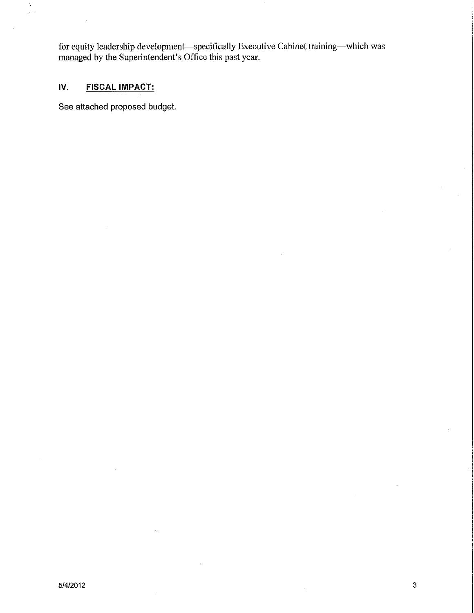for equity leadership development—specifically Executive Cabinet training—which was managed by the Superintendent's Office this past year.

#### IV. **FISCAL IMPACT:**

 $\bar{\chi}$  $\bar{z}$ 

See attached proposed budget.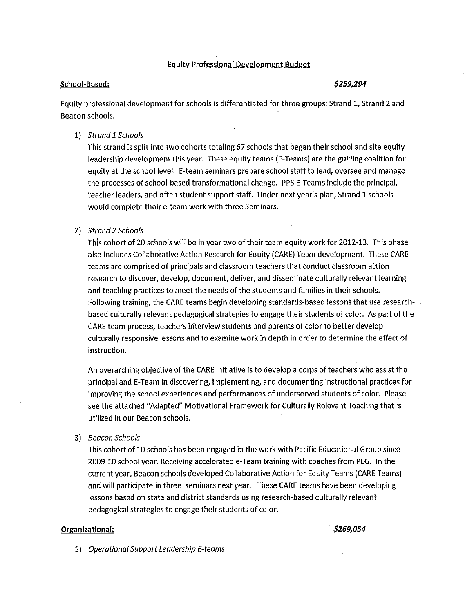#### **Equity Professional Development Budget**

#### School-Based:

#### \$259,294

Equity professional development for schools is differentiated for three groups: Strand 1, Strand 2 and Beacon schools.

#### 1) Strand 1 Schools

This strand is split into two cohorts totaling 67 schools that began their school and site equity leadership development this year. These equity teams (E-Teams) are the guiding coalition for equity at the school level. E-team seminars prepare school staff to lead, oversee and manage the processes of school-based transformational change. PPS E-Teams include the principal, teacher leaders, and often student support staff. Under next year's plan, Strand 1 schools would complete their e-team work with three Seminars.

#### 2) Strand 2 Schools

This cohort of 20 schools will be in year two of their team equity work for 2012-13. This phase also includes Collaborative Action Research for Equity (CARE) Team development. These CARE teams are comprised of principals and classroom teachers that conduct classroom action research to discover, develop, document, deliver, and disseminate culturally relevant learning and teaching practices to meet the needs of the students and families in their schools. Following training, the CARE teams begin developing standards-based lessons that use researchbased culturally relevant pedagogical strategies to engage their students of color. As part of the CARE team process, teachers interview students and parents of color to better develop culturally responsive lessons and to examine work in depth in order to determine the effect of instruction.

An overarching objective of the CARE initiative is to develop a corps of teachers who assist the principal and E-Team in discovering, implementing, and documenting instructional practices for improving the school experiences and performances of underserved students of color. Please see the attached "Adapted" Motivational Framework for Culturally Relevant Teaching that is utilized in our Beacon schools.

3) Beacon Schools

This cohort of 10 schools has been engaged in the work with Pacific Educational Group since 2009-10 school year. Receiving accelerated e-Team training with coaches from PEG. In the current year, Beacon schools developed Collaborative Action for Equity Teams (CARE Teams) and will participate in three seminars next year. These CARE teams have been developing lessons based on state and district standards using research-based culturally relevant pedagogical strategies to engage their students of color.

#### Organizational:

\$269,054

1) Operational Support Leadership E-teams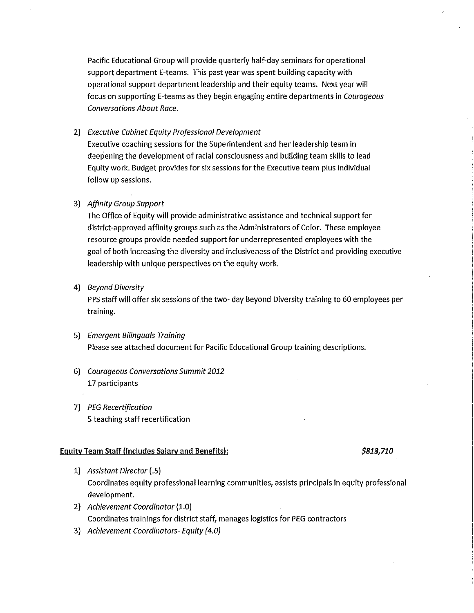Pacific Educational Group will provide quarterly half-day seminars for operational support department E-teams. This past year was spent building capacity with operational support department leadership and their equity teams. Next year will focus on supporting E-teams as they begin engaging entire departments in Courageous **Conversations About Race.** 

# 2) Executive Cabinet Equity Professional Development

Executive coaching sessions for the Superintendent and her leadership team in deepening the development of racial consciousness and building team skills to lead Equity work. Budget provides for six sessions for the Executive team plus individual follow up sessions.

# 3) Affinity Group Support

The Office of Equity will provide administrative assistance and technical support for district-approved affinity groups such as the Administrators of Color. These employee resource groups provide needed support for underrepresented employees with the goal of both increasing the diversity and inclusiveness of the District and providing executive leadership with unique perspectives on the equity work.

## 4) Beyond Diversity

PPS staff will offer six sessions of the two- day Beyond Diversity training to 60 employees per training.

- 5) Emergent Bilinguals Training Please see attached document for Pacific Educational Group training descriptions.
- 6) Courageous Conversations Summit 2012 17 participants
- 7) PEG Recertification 5 teaching staff recertification

#### **Equity Team Staff (Includes Salary and Benefits):**

#### \$813,710

- 1) Assistant Director (.5) Coordinates equity professional learning communities, assists principals in equity professional development.
- 2) Achievement Coordinator (1.0) Coordinates trainings for district staff, manages logistics for PEG contractors
- 3) Achievement Coordinators- Equity (4.0)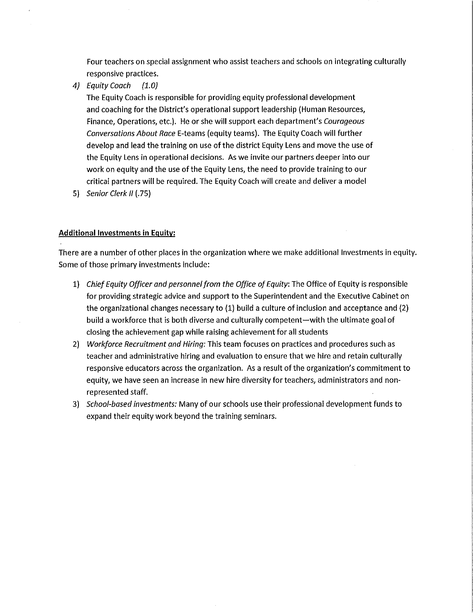Four teachers on special assignment who assist teachers and schools on integrating culturally responsive practices.

4) Equity Coach  $(1.0)$ 

> The Equity Coach is responsible for providing equity professional development and coaching for the District's operational support leadership (Human Resources, Finance, Operations, etc.). He or she will support each department's Courggeous Conversations About Race E-teams (equity teams). The Equity Coach will further develop and lead the training on use of the district Equity Lens and move the use of the Equity Lens in operational decisions. As we invite our partners deeper into our work on equity and the use of the Equity Lens, the need to provide training to our critical partners will be required. The Equity Coach will create and deliver a model

5) Senior Clerk II (.75)

## **Additional Investments in Equity:**

There are a number of other places in the organization where we make additional Investments in equity. Some of those primary investments include:

- 1) Chief Equity Officer and personnel from the Office of Equity: The Office of Equity is responsible for providing strategic advice and support to the Superintendent and the Executive Cabinet on the organizational changes necessary to (1) build a culture of inclusion and acceptance and (2) build a workforce that is both diverse and culturally competent—with the ultimate goal of closing the achievement gap while raising achievement for all students
- 2) Workforce Recruitment and Hiring: This team focuses on practices and procedures such as teacher and administrative hiring and evaluation to ensure that we hire and retain culturally responsive educators across the organization. As a result of the organization's commitment to equity, we have seen an increase in new hire diversity for teachers, administrators and nonrepresented staff.
- 3) School-based investments: Many of our schools use their professional development funds to expand their equity work beyond the training seminars.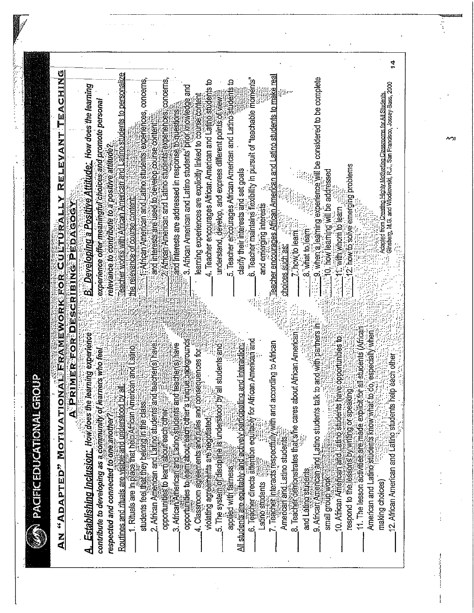|                                                                                                             |                                  |                                                                                                                                  |                                                 |                                                                              |                                                               |                                                                 |                                                                |                                                                |                                                                                                                                 |                                                              |                                                               |                                                                  |                                                               |                                                                                                  |                                                                    |                        |                                                                             |                              |                                                               |                     |                                                                          |                                                                                    |                                                                                                          |                                                                       |                                                                  |                                                                                                                                                | 1                                                           |
|-------------------------------------------------------------------------------------------------------------|----------------------------------|----------------------------------------------------------------------------------------------------------------------------------|-------------------------------------------------|------------------------------------------------------------------------------|---------------------------------------------------------------|-----------------------------------------------------------------|----------------------------------------------------------------|----------------------------------------------------------------|---------------------------------------------------------------------------------------------------------------------------------|--------------------------------------------------------------|---------------------------------------------------------------|------------------------------------------------------------------|---------------------------------------------------------------|--------------------------------------------------------------------------------------------------|--------------------------------------------------------------------|------------------------|-----------------------------------------------------------------------------|------------------------------|---------------------------------------------------------------|---------------------|--------------------------------------------------------------------------|------------------------------------------------------------------------------------|----------------------------------------------------------------------------------------------------------|-----------------------------------------------------------------------|------------------------------------------------------------------|------------------------------------------------------------------------------------------------------------------------------------------------|-------------------------------------------------------------|
| RELEVANT TEACHING                                                                                           |                                  | B. Developing a Positive Attitude: How does the learning<br>experience offer meaningful choices and promote personal             | relevance to contribute to a positive attitude? | <u>eacher works with African American and Latino students to personalize</u> | the relevance of course content                               | 11-African American and Latino students, experiences, concerns, | and interests are used to develop course content.              | of African American and Latino students, experiences concerns. | 3. African American and Latino students' brior knowledge and<br>and interests are addressed in response to questions            | learning experiences are explicitly linked to course content | 4. Teacher encourages African American and Latino students to | understand, develop, and express different points of view        | 5. Teacher encourages African American and Latino students to | clarify their interests and set goals                                                            | 6. Teacher maintains flexibility in pursuit of "teachable moments" | and emerging interests | <u>Teacher encourages African American and Latino students to make real</u> | choices such as:             | 7. how to learn.                                              | 8 what to learn     | 3.1.19. when a learning experience will be considered to be complete     | <b>Controlly integrating Will be addressed</b>                                     | $\frac{1}{2}$ : $\frac{1}{2}$ is now to solve einerging problems<br>$\frac{1}{2}$ 11. with whom to learn |                                                                       |                                                                  | Adapied from Creating Highly Molivating Classrooms for All Students.<br>Girisberg, M.G. and Wlodkowski, R.J., San Francisco, Jossey-Bass, 2000 |                                                             |
| AN "ADAPTED" MOTIVATIONAL FRAMEWORK FOR CULTURALLY<br><b>DLIP</b><br><b>PACIFICEDUCATIONAL GR</b><br>le a N | A PRIMER FOR DESCRIBING PEDAGOGY | Establishing Inclusion: How does the learning experience<br>contribute to developing as a community of learners who reel<br>ન્તે | respected and connected to one another          | $\frac{1}{3}$<br>Routines and rituals are visible and understood by          | 1. Rituals are in blace that help African American and Latino | students feel that they belong in the class                     | teacher(s) have<br>2. African American and Latino students and | opportunities to learn about each other                        | opportunities to learn about each other's unique backgrounds<br>teacher(s) have<br>3. African Afriencan and Eatino students and | 4. Classifoom agreements and tules and con                   | sequences for<br>violating agreements are negotiated          | all students and<br>5. The system of discipline is understood by |                                                               | applied with fairness.<br>All students are equitably and actively participating and interaction: | 6. Teacher directs attention equilably for African American and    | Latino students        | 7. Teacher interacts respectfully with and according to African             | American and Latino students | 8. Teacher demonstrates that she cares about African American | and Lating students | to and with partners in<br>9. Africait American and Latino students talk | 10. African American and Latino students have opportunities to<br>small group work | respond to the lessons by writing or speaking                                                            | 11. The lesson activities are made explicit for all students (African | do, especially when<br>American and Latino students know what to | making choices)                                                                                                                                | peach other<br>12. African American and Latric students hel |

Serbit.<br>P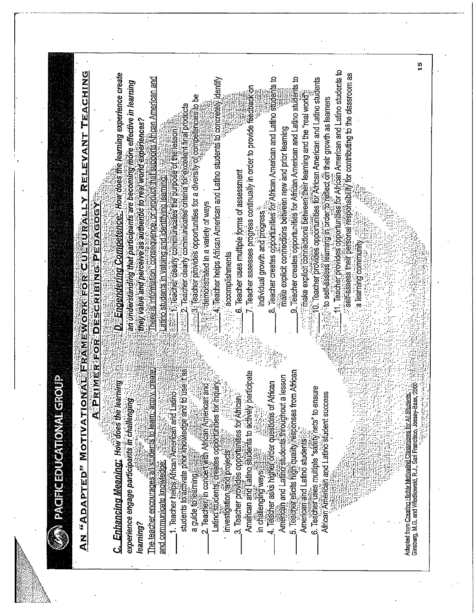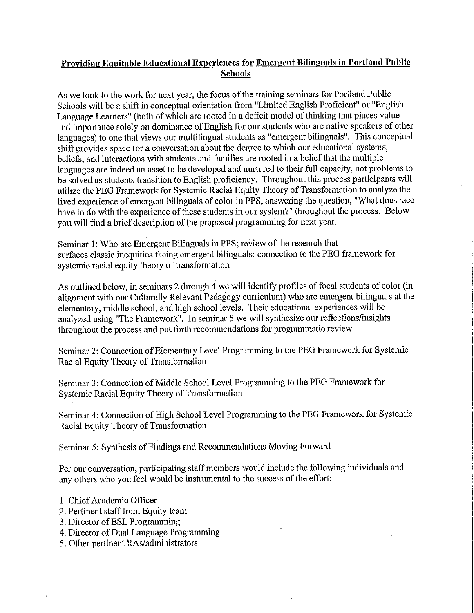# Providing Equitable Educational Experiences for Emergent Bilinguals in Portland Public **Schools**

As we look to the work for next year, the focus of the training seminars for Portland Public Schools will be a shift in conceptual orientation from "Limited English Proficient" or "English Language Learners" (both of which are rooted in a deficit model of thinking that places value and importance solely on dominance of English for our students who are native speakers of other languages) to one that views our multilingual students as "emergent bilinguals". This conceptual shift provides space for a conversation about the degree to which our educational systems, beliefs, and interactions with students and families are rooted in a belief that the multiple languages are indeed an asset to be developed and nurtured to their full capacity, not problems to be solved as students transition to English proficiency. Throughout this process participants will utilize the PEG Framework for Systemic Racial Equity Theory of Transformation to analyze the lived experience of emergent bilinguals of color in PPS, answering the question, "What does race have to do with the experience of these students in our system?" throughout the process. Below you will find a brief description of the proposed programming for next year.

Seminar 1: Who are Emergent Bilinguals in PPS; review of the research that surfaces classic inequities facing emergent bilinguals; connection to the PEG framework for systemic racial equity theory of transformation

As outlined below, in seminars 2 through 4 we will identify profiles of focal students of color (in alignment with our Culturally Relevant Pedagogy curriculum) who are emergent bilinguals at the elementary, middle school, and high school levels. Their educational experiences will be analyzed using "The Framework". In seminar 5 we will synthesize our reflections/insights throughout the process and put forth recommendations for programmatic review.

Seminar 2: Connection of Elementary Level Programming to the PEG Framework for Systemic Racial Equity Theory of Transformation

Seminar 3: Connection of Middle School Level Programming to the PEG Framework for Systemic Racial Equity Theory of Transformation

Seminar 4: Connection of High School Level Programming to the PEG Framework for Systemic Racial Equity Theory of Transformation

Seminar 5: Synthesis of Findings and Recommendations Moving Forward

Per our conversation, participating staff members would include the following individuals and any others who you feel would be instrumental to the success of the effort:

- 1. Chief Academic Officer
- 2. Pertinent staff from Equity team
- 3. Director of ESL Programming
- 4. Director of Dual Language Programming
- 5. Other pertinent RAs/administrators